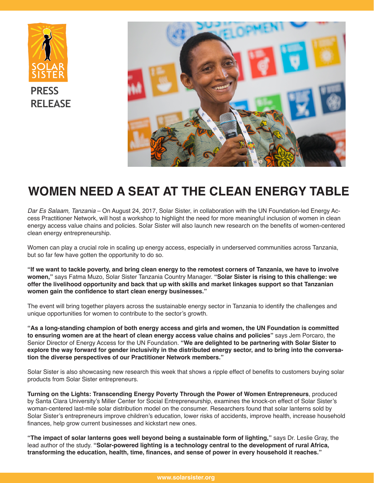



# **WOMEN NEED A SEAT AT THE CLEAN ENERGY TABLE**

*Dar Es Salaam, Tanzania* – On August 24, 2017, Solar Sister, in collaboration with the UN Foundation-led Energy Access Practitioner Network, will host a workshop to highlight the need for more meaningful inclusion of women in clean energy access value chains and policies. Solar Sister will also launch new research on the benefits of women-centered clean energy entrepreneurship.

Women can play a crucial role in scaling up energy access, especially in underserved communities across Tanzania, but so far few have gotten the opportunity to do so.

**"If we want to tackle poverty, and bring clean energy to the remotest corners of Tanzania, we have to involve women,"** says Fatma Muzo, Solar Sister Tanzania Country Manager. **"Solar Sister is rising to this challenge: we offer the livelihood opportunity and back that up with skills and market linkages support so that Tanzanian women gain the confidence to start clean energy businesses."** 

The event will bring together players across the sustainable energy sector in Tanzania to identify the challenges and unique opportunities for women to contribute to the sector's growth.

**"As a long-standing champion of both energy access and girls and women, the UN Foundation is committed to ensuring women are at the heart of clean energy access value chains and policies"** says Jem Porcaro, the Senior Director of Energy Access for the UN Foundation. **"We are delighted to be partnering with Solar Sister to explore the way forward for gender inclusivity in the distributed energy sector, and to bring into the conversation the diverse perspectives of our Practitioner Network members."**

Solar Sister is also showcasing new research this week that shows a ripple effect of benefits to customers buying solar products from Solar Sister entrepreneurs.

**[Turning on the Lights: Transcending Energy Poverty Through the Power of Women Entrepreneurs](https://static1.squarespace.com/static/581b86d58419c2b663a87d5a/t/594196eb8419c2bc4a837d0d/1497470711855/Turning-on-the-Lights-Miller-Center.FINAL.033017+%281%29.pdf)**, produced by Santa Clara University's Miller Center for Social Entrepreneurship, examines the knock-on effect of Solar Sister's woman-centered last-mile solar distribution model on the consumer. Researchers found that solar lanterns sold by Solar Sister's entrepreneurs improve children's education, lower risks of accidents, improve health, increase household finances, help grow current businesses and kickstart new ones.

**"The impact of solar lanterns goes well beyond being a sustainable form of lighting,"** says Dr. Leslie Gray, the lead author of the study. **"Solar-powered lighting is a technology central to the development of rural Africa, transforming the education, health, time, finances, and sense of power in every household it reaches."**